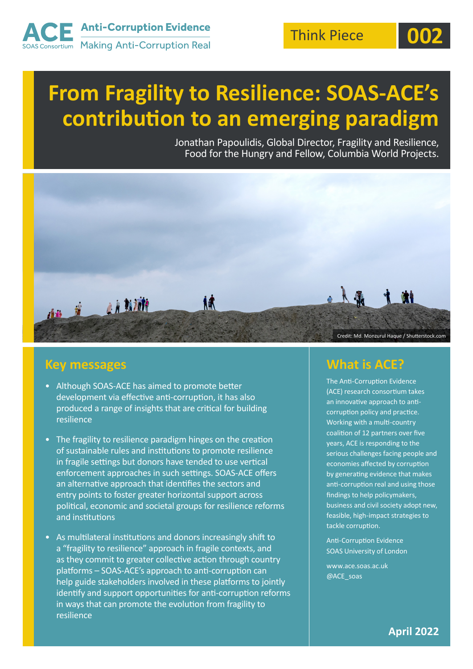

# **From Fragility to Resilience: SOAS-ACE's contribution to an emerging paradigm**

Jonathan Papoulidis, Global Director, Fragility and Resilience, Food for the Hungry and Fellow, Columbia World Projects.



#### **Key messages**

- Although SOAS-ACE has aimed to promote better development via effective anti-corruption, it has also produced a range of insights that are critical for building resilience
- The fragility to resilience paradigm hinges on the creation of sustainable rules and institutions to promote resilience in fragile settings but donors have tended to use vertical enforcement approaches in such settings. SOAS-ACE offers an alternative approach that identifies the sectors and entry points to foster greater horizontal support across political, economic and societal groups for resilience reforms and institutions
- As multilateral institutions and donors increasingly shift to a "fragility to resilience" approach in fragile contexts, and as they commit to greater collective action through country platforms – SOAS-ACE's approach to anti-corruption can help guide stakeholders involved in these platforms to jointly identify and support opportunities for anti-corruption reforms in ways that can promote the evolution from fragility to resilience

#### **What is ACE?**

The Anti-Corruption Evidence (ACE) research consortium takes an innovative approach to anticorruption policy and practice. Working with a multi-country coalition of 12 partners over five years, ACE is responding to the serious challenges facing people and economies affected by corruption by generating evidence that makes anti-corruption real and using those findings to help policymakers, business and civil society adopt new, feasible, high-impact strategies to tackle corruption.

Anti-Corruption Evidence SOAS University of London

www.ace.soas.ac.uk @ACE\_soas

**April 2022**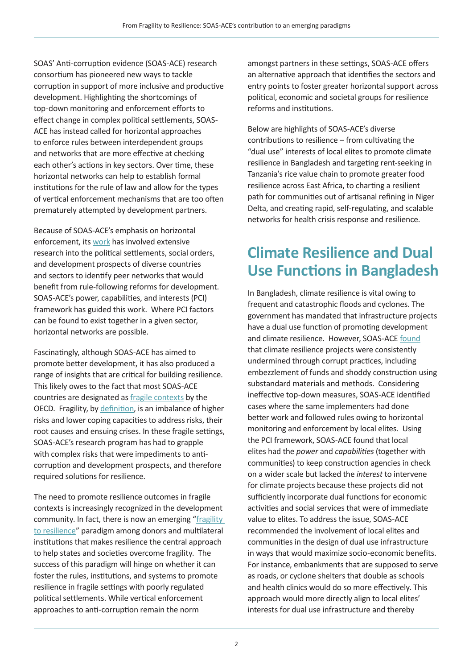SOAS' Anti-corruption evidence (SOAS-ACE) research consortium has pioneered new ways to tackle corruption in support of more inclusive and productive development. Highlighting the shortcomings of top-down monitoring and enforcement efforts to effect change in complex political settlements, SOAS-ACE has instead called for horizontal approaches to enforce rules between interdependent groups and networks that are more effective at checking each other's actions in key sectors. Over time, these horizontal networks can help to establish formal institutions for the rule of law and allow for the types of vertical enforcement mechanisms that are too often prematurely attempted by development partners.

Because of SOAS-ACE's emphasis on horizontal enforcement, its [work](https://ace.soas.ac.uk/strategies/) has involved extensive research into the political settlements, social orders, and development prospects of diverse countries and sectors to identify peer networks that would benefit from rule-following reforms for development. SOAS-ACE's power, capabilities, and interests (PCI) framework has guided this work. Where PCI factors can be found to exist together in a given sector, horizontal networks are possible.

Fascinatingly, although SOAS-ACE has aimed to promote better development, it has also produced a range of insights that are critical for building resilience. This likely owes to the fact that most SOAS-ACE countries are designated as [fragile contexts](https://www.oecd.org/dac/states-of-fragility-fa5a6770-en.htm) by the OECD. Fragility, by [definition](https://www.oecd-ilibrary.org/sites/ba7c22e7-en/index.html?itemId=/content/publication/ba7c22e7-en), is an imbalance of higher risks and lower coping capacities to address risks, their root causes and ensuing crises. In these fragile settings, SOAS-ACE's research program has had to grapple with complex risks that were impediments to anticorruption and development prospects, and therefore required solutions for resilience.

The need to promote resilience outcomes in fragile contexts is increasingly recognized in the development community. In fact, there is now an emerging "[fragility](https://www.brookings.edu/blog/future-development/2018/11/08/fragile-states-and-the-search-for-what-works/)  [to resilience](https://www.brookings.edu/blog/future-development/2018/11/08/fragile-states-and-the-search-for-what-works/)" paradigm among donors and multilateral institutions that makes resilience the central approach to help states and societies overcome fragility. The success of this paradigm will hinge on whether it can foster the rules, institutions, and systems to promote resilience in fragile settings with poorly regulated political settlements. While vertical enforcement approaches to anti-corruption remain the norm

amongst partners in these settings, SOAS-ACE offers an alternative approach that identifies the sectors and entry points to foster greater horizontal support across political, economic and societal groups for resilience reforms and institutions.

Below are highlights of SOAS-ACE's diverse contributions to resilience – from cultivating the "dual use" interests of local elites to promote climate resilience in Bangladesh and targeting rent-seeking in Tanzania's rice value chain to promote greater food resilience across East Africa, to charting a resilient path for communities out of artisanal refining in Niger Delta, and creating rapid, self-regulating, and scalable networks for health crisis response and resilience.

## **Climate Resilience and Dual Use Functions in Bangladesh**

In Bangladesh, climate resilience is vital owing to frequent and catastrophic floods and cyclones. The government has mandated that infrastructure projects have a dual use function of promoting development and climate resilience. However, SOAS-ACE [found](https://ace.soas.ac.uk/wp-content/uploads/2020/12/ACE-WorkingPaper033-ClimateChangeInvestments-201217.pdf) that climate resilience projects were consistently undermined through corrupt practices, including embezzlement of funds and shoddy construction using substandard materials and methods. Considering ineffective top-down measures, SOAS-ACE identified cases where the same implementers had done better work and followed rules owing to horizontal monitoring and enforcement by local elites. Using the PCI framework, SOAS-ACE found that local elites had the *power* and *capabilities* (together with communities) to keep construction agencies in check on a wider scale but lacked the *interest* to intervene for climate projects because these projects did not sufficiently incorporate dual functions for economic activities and social services that were of immediate value to elites. To address the issue, SOAS-ACE recommended the involvement of local elites and communities in the design of dual use infrastructure in ways that would maximize socio-economic benefits. For instance, embankments that are supposed to serve as roads, or cyclone shelters that double as schools and health clinics would do so more effectively. This approach would more directly align to local elites' interests for dual use infrastructure and thereby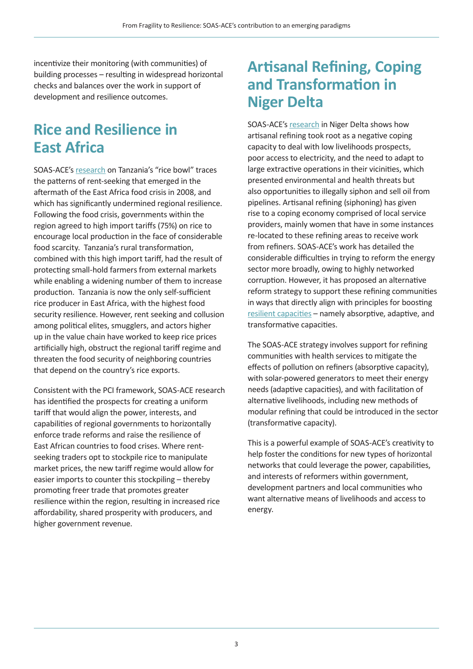incentivize their monitoring (with communities) of building processes – resulting in widespread horizontal checks and balances over the work in support of development and resilience outcomes.

### **Rice and Resilience in East Africa**

SOAS-ACE's [research](https://ace.soas.ac.uk/wp-content/uploads/2021/01/ACE-WorkingPaper034-TanzanianRiceBowl-210119.pdf) on Tanzania's "rice bowl" traces the patterns of rent-seeking that emerged in the aftermath of the East Africa food crisis in 2008, and which has significantly undermined regional resilience. Following the food crisis, governments within the region agreed to high import tariffs (75%) on rice to encourage local production in the face of considerable food scarcity. Tanzania's rural transformation, combined with this high import tariff, had the result of protecting small-hold farmers from external markets while enabling a widening number of them to increase production. Tanzania is now the only self-sufficient rice producer in East Africa, with the highest food security resilience. However, rent seeking and collusion among political elites, smugglers, and actors higher up in the value chain have worked to keep rice prices artificially high, obstruct the regional tariff regime and threaten the food security of neighboring countries that depend on the country's rice exports.

Consistent with the PCI framework, SOAS-ACE research has identified the prospects for creating a uniform tariff that would align the power, interests, and capabilities of regional governments to horizontally enforce trade reforms and raise the resilience of East African countries to food crises. Where rentseeking traders opt to stockpile rice to manipulate market prices, the new tariff regime would allow for easier imports to counter this stockpiling – thereby promoting freer trade that promotes greater resilience within the region, resulting in increased rice affordability, shared prosperity with producers, and higher government revenue.

#### **Artisanal Refining, Coping and Transformation in Niger Delta**

SOAS-ACE's research [in Niger Delta](https://ace.soas.ac.uk/publication/mitigation-and-transformation-solutions-to-networked-corruption-in-artisanal-refining-in-the-niger-delta-retooling-anti-corruption-analysis-for-effective-policy/) shows how artisanal refining took root as a negative coping capacity to deal with low livelihoods prospects, poor access to electricity, and the need to adapt to large extractive operations in their vicinities, which presented environmental and health threats but also opportunities to illegally siphon and sell oil from pipelines. Artisanal refining (siphoning) has given rise to a coping economy comprised of local service providers, mainly women that have in some instances re-located to these refining areas to receive work from refiners. SOAS-ACE's work has detailed the considerable difficulties in trying to reform the energy sector more broadly, owing to highly networked corruption. However, it has proposed an alternative reform strategy to support these refining communities in ways that directly align with principles for boosting [resilient capacities](https://www.oecd.org/dac/Resilience%20Systems%20Analysis%20FINAL.pdf) – namely absorptive, adaptive, and transformative capacities.

The SOAS-ACE strategy involves support for refining communities with health services to mitigate the effects of pollution on refiners (absorptive capacity), with solar-powered generators to meet their energy needs (adaptive capacities), and with facilitation of alternative livelihoods, including new methods of modular refining that could be introduced in the sector (transformative capacity).

This is a powerful example of SOAS-ACE's creativity to help foster the conditions for new types of horizontal networks that could leverage the power, capabilities, and interests of reformers within government, development partners and local communities who want alternative means of livelihoods and access to energy.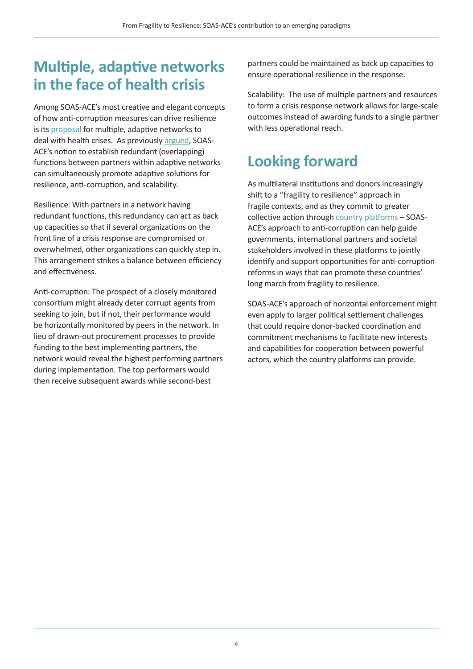## **Multiple, adaptive networks in the face of health crisis**

Among SOAS-ACE's most creative and elegant concepts of how anti-corruption measures can drive resilience is its [proposal](https://ace.soas.ac.uk/wp-content/uploads/2020/10/1-s2.0-S0305750X20303405-main.pdf) for multiple, adaptive networks to deal with health crises. As previously [argued,](https://ace.soas.ac.uk/25-march-2021-multiple-adaptive-networks-as-a-crisis-response/) SOAS-ACE's notion to establish redundant (overlapping) functions between partners within adaptive networks can simultaneously promote adaptive solutions for resilience, anti-corruption, and scalability.

Resilience: With partners in a network having redundant functions, this redundancy can act as back up capacities so that if several organizations on the front line of a crisis response are compromised or overwhelmed, other organizations can quickly step in. This arrangement strikes a balance between efficiency and effectiveness.

Anti-corruption: The prospect of a closely monitored consortium might already deter corrupt agents from seeking to join, but if not, their performance would be horizontally monitored by peers in the network. In lieu of drawn-out procurement processes to provide funding to the best implementing partners, the network would reveal the highest performing partners during implementation. The top performers would then receive subsequent awards while second-best

partners could be maintained as back up capacities to ensure operational resilience in the response.

Scalability: The use of multiple partners and resources to form a crisis response network allows for large-scale outcomes instead of awarding funds to a single partner with less operational reach.

# **Looking forward**

As multilateral institutions and donors increasingly shift to a "fragility to resilience" approach in fragile contexts, and as they commit to greater collective action through [country platforms](https://ieg.worldbankgroup.org/blog/country-platforms-fragile-states-new-path-development-cooperation) - SOAS-ACE's approach to anti-corruption can help guide governments, international partners and societal stakeholders involved in these platforms to jointly identify and support opportunities for anti-corruption reforms in ways that can promote these countries' long march from fragility to resilience.

SOAS-ACE's approach of horizontal enforcement might even apply to larger political settlement challenges that could require donor-backed coordination and commitment mechanisms to facilitate new interests and capabilities for cooperation between powerful actors, which the country platforms can provide.